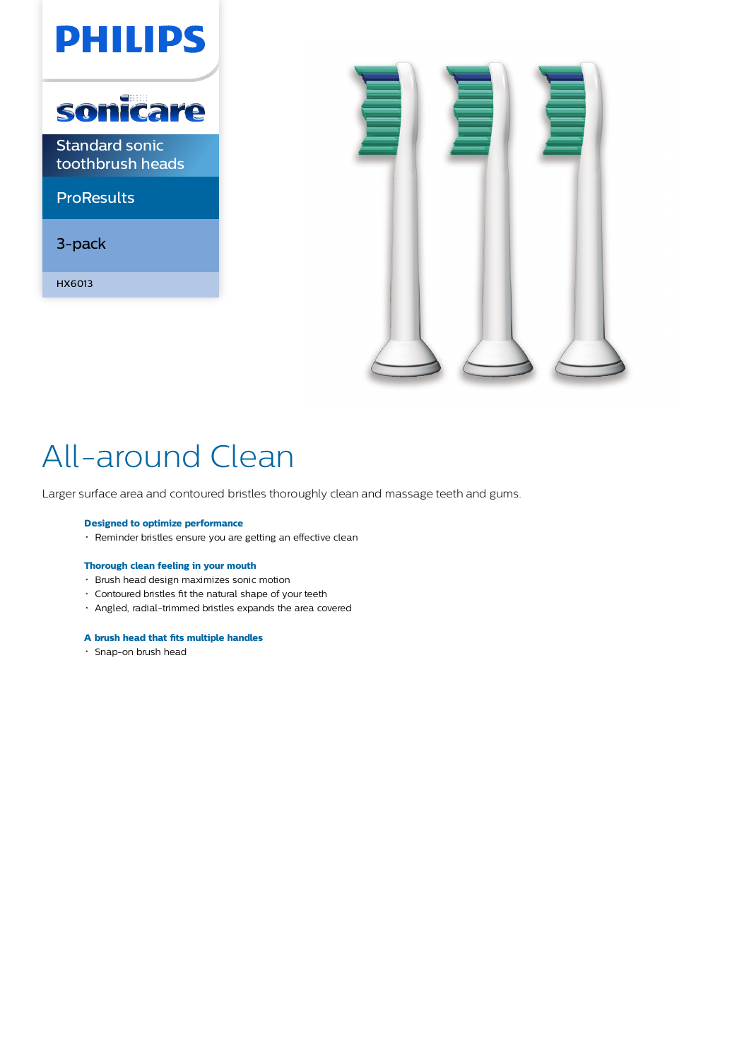



# All-around Clean

Larger surface area and contoured bristles thoroughly clean and massage teeth and gums.

#### **Designed to optimize performance**

Reminder bristles ensure you are getting an effective clean

#### **Thorough clean feeling in your mouth**

- Brush head design maximizes sonic motion
- Contoured bristles fit the natural shape of your teeth
- Angled, radial-trimmed bristles expands the area covered

### **A brush head that fits multiple handles**

Snap-on brush head